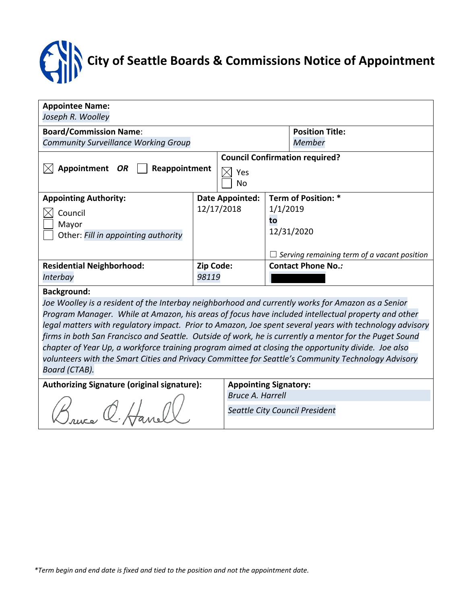# **City of Seattle Boards & Commissions Notice of Appointment**

| <b>Appointee Name:</b>                                                                                  |                                |                                       |                                                    |                     |  |  |  |  |  |
|---------------------------------------------------------------------------------------------------------|--------------------------------|---------------------------------------|----------------------------------------------------|---------------------|--|--|--|--|--|
| Joseph R. Woolley                                                                                       |                                |                                       |                                                    |                     |  |  |  |  |  |
| <b>Board/Commission Name:</b>                                                                           |                                | <b>Position Title:</b>                |                                                    |                     |  |  |  |  |  |
| <b>Community Surveillance Working Group</b>                                                             |                                |                                       | Member                                             |                     |  |  |  |  |  |
|                                                                                                         |                                | <b>Council Confirmation required?</b> |                                                    |                     |  |  |  |  |  |
| Appointment OR<br>Reappointment                                                                         |                                | Yes                                   |                                                    |                     |  |  |  |  |  |
|                                                                                                         |                                | No                                    |                                                    |                     |  |  |  |  |  |
| <b>Appointing Authority:</b>                                                                            |                                | <b>Date Appointed:</b>                |                                                    | Term of Position: * |  |  |  |  |  |
| Council                                                                                                 | 12/17/2018                     |                                       | 1/1/2019                                           |                     |  |  |  |  |  |
| Mayor                                                                                                   |                                |                                       | to                                                 |                     |  |  |  |  |  |
| Other: Fill in appointing authority                                                                     |                                |                                       | 12/31/2020                                         |                     |  |  |  |  |  |
|                                                                                                         |                                |                                       |                                                    |                     |  |  |  |  |  |
|                                                                                                         |                                |                                       | $\Box$ Serving remaining term of a vacant position |                     |  |  |  |  |  |
| <b>Residential Neighborhood:</b>                                                                        | Zip Code:                      |                                       | <b>Contact Phone No.:</b>                          |                     |  |  |  |  |  |
| Interbay                                                                                                | 98119                          |                                       |                                                    |                     |  |  |  |  |  |
| <b>Background:</b>                                                                                      |                                |                                       |                                                    |                     |  |  |  |  |  |
| Joe Woolley is a resident of the Interbay neighborhood and currently works for Amazon as a Senior       |                                |                                       |                                                    |                     |  |  |  |  |  |
| Program Manager. While at Amazon, his areas of focus have included intellectual property and other      |                                |                                       |                                                    |                     |  |  |  |  |  |
| legal matters with regulatory impact. Prior to Amazon, Joe spent several years with technology advisory |                                |                                       |                                                    |                     |  |  |  |  |  |
| firms in both San Francisco and Seattle. Outside of work, he is currently a mentor for the Puget Sound  |                                |                                       |                                                    |                     |  |  |  |  |  |
| chapter of Year Up, a workforce training program aimed at closing the opportunity divide. Joe also      |                                |                                       |                                                    |                     |  |  |  |  |  |
| volunteers with the Smart Cities and Privacy Committee for Seattle's Community Technology Advisory      |                                |                                       |                                                    |                     |  |  |  |  |  |
| Board (CTAB).                                                                                           |                                |                                       |                                                    |                     |  |  |  |  |  |
| <b>Authorizing Signature (original signature):</b>                                                      |                                | <b>Appointing Signatory:</b>          |                                                    |                     |  |  |  |  |  |
|                                                                                                         |                                | <b>Bruce A. Harrell</b>               |                                                    |                     |  |  |  |  |  |
|                                                                                                         | Seattle City Council President |                                       |                                                    |                     |  |  |  |  |  |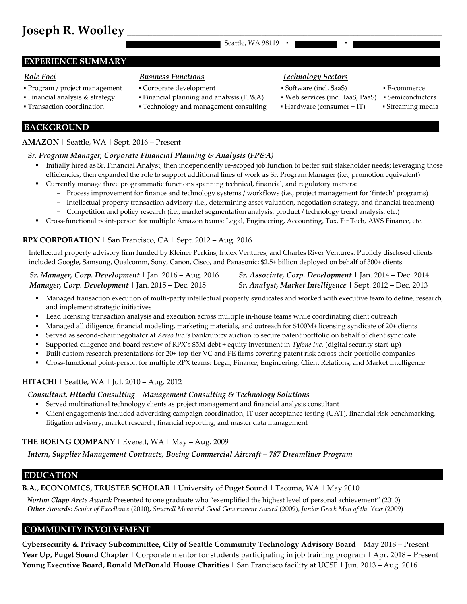## **Joseph R. Woolley**

Seattle, WA 98119

#### **EXPERIENCE SUMMARY**

- Program / project management Corporate development Software (incl. SaaS) E-commerce
- 
- 
- 
- Transaction coordination Technology and management consulting Hardware (consumer + IT) Streaming media

### *Role Foci Business Functions Technology Sectors*

- -
- 
- 
- 
- 

**BACKGROUND** 

#### **AMAZON** | Seattle, WA | Sept. 2016 – Present

#### *Sr. Program Manager, Corporate Financial Planning & Analysis (FP&A)*

- Initially hired as Sr. Financial Analyst, then independently re-scoped job function to better suit stakeholder needs; leveraging those efficiencies, then expanded the role to support additional lines of work as Sr. Program Manager (i.e., promotion equivalent)
- Currently manage three programmatic functions spanning technical, financial, and regulatory matters:
	- Process improvement for finance and technology systems / workflows (i.e., project management for 'fintech' programs)
	- Intellectual property transaction advisory (i.e., determining asset valuation, negotiation strategy, and financial treatment)
	- Competition and policy research (i.e., market segmentation analysis, product / technology trend analysis, etc.)
- Cross-functional point-person for multiple Amazon teams: Legal, Engineering, Accounting, Tax, FinTech, AWS Finance, etc.

#### **RPX CORPORATION** | San Francisco, CA | Sept. 2012 – Aug. 2016

Intellectual property advisory firm funded by Kleiner Perkins, Index Ventures, and Charles River Ventures. Publicly disclosed clients included Google, Samsung, Qualcomm, Sony, Canon, Cisco, and Panasonic; \$2.5+ billion deployed on behalf of 300+ clients

## *Manager, Corp. Development* | Jan. 2015 – Dec. 2015 *Sr. Analyst, Market Intelligence* | Sept. 2012 – Dec. 2013

 *Sr. Manager, Corp. Development* | Jan. 2016 – Aug. 2016 *Sr. Associate, Corp. Development* | Jan. 2014 – Dec. 2014

- Managed transaction execution of multi-party intellectual property syndicates and worked with executive team to define, research, and implement strategic initiatives
- Lead licensing transaction analysis and execution across multiple in-house teams while coordinating client outreach
- Managed all diligence, financial modeling, marketing materials, and outreach for \$100M+ licensing syndicate of 20+ clients
- Served as second-chair negotiator at *Aereo Inc.'s* bankruptcy auction to secure patent portfolio on behalf of client syndicate
- Supported diligence and board review of RPX's \$5M debt + equity investment in *Tyfone Inc.* (digital security start-up)
- Built custom research presentations for 20+ top-tier VC and PE firms covering patent risk across their portfolio companies
- Cross-functional point-person for multiple RPX teams: Legal, Finance, Engineering, Client Relations, and Market Intelligence

#### **HITACHI** | Seattle, WA | Jul. 2010 – Aug. 2012

#### *Consultant, Hitachi Consulting – Management Consulting & Technology Solutions*

- Served multinational technology clients as project management and financial analysis consultant
- Client engagements included advertising campaign coordination, IT user acceptance testing (UAT), financial risk benchmarking, litigation advisory, market research, financial reporting, and master data management

#### **THE BOEING COMPANY** | Everett, WA | May – Aug. 2009

*Intern, Supplier Management Contracts, Boeing Commercial Aircraft – 787 Dreamliner Program*

### $EDUCATION$

#### **B.A., ECONOMICS, TRUSTEE SCHOLAR** | University of Puget Sound | Tacoma, WA | May 2010

*Norton Clapp Arete Award:* Presented to one graduate who "exemplified the highest level of personal achievement" (2010) *Other Awards: Senior of Excellence* (2010), *Spurrell Memorial Good Government Award* (2009), *Junior Greek Man of the Year* (2009)

#### **COMMUNITY INVOLVEMENT\_\_\_\_\_\_\_\_\_\_\_\_\_\_\_\_\_\_\_\_\_\_\_\_\_\_\_\_\_\_\_\_\_\_\_\_\_\_\_\_\_\_\_\_\_\_\_\_\_\_\_\_\_\_\_\_\_\_\_\_\_\_\_\_\_\_\_\_\_\_**

**Cybersecurity & Privacy Subcommittee, City of Seattle Community Technology Advisory Board** | May 2018 – Present **Year Up, Puget Sound Chapter |** Corporate mentor for students participating in job training program **|** Apr. 2018 – Present **Young Executive Board, Ronald McDonald House Charities |** San Francisco facility at UCSF **|** Jun. 2013 – Aug. 2016

▪ Financial analysis & strategy ▪ Financial planning and analysis (FP&A) ▪ Web services (incl. IaaS, PaaS) ▪ Semiconductors